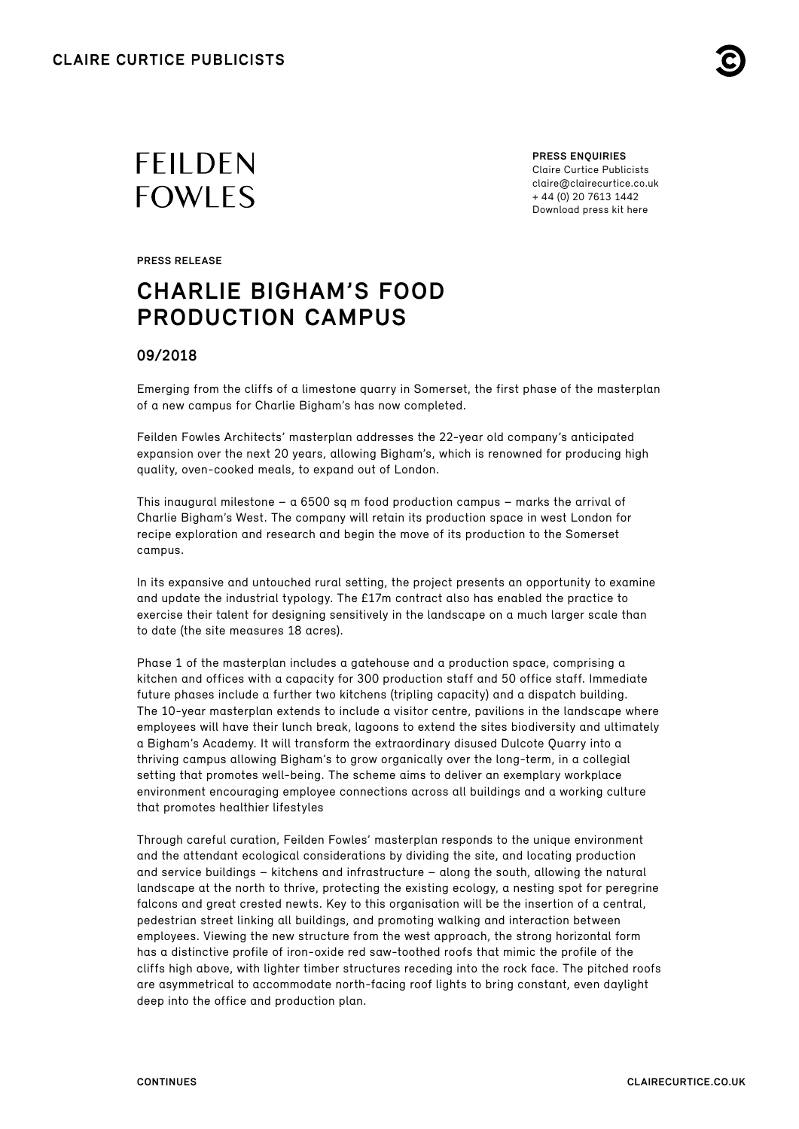

# FEILDEN **FOWLES**

**PRESS ENQUIRIES** Claire Curtice Publicists claire@clairecurtice.co.uk + 44 (0) 20 7613 1442 [Download press kit here](https://www.dropbox.com/sh/7t6d8dvjqw9xsen/AAD2WdI1r6PR0iJsCptvOxkna?dl=0)

**PRESS RELEASE**

## **CHARLIE BIGHAM'S FOOD PRODUCTION CAMPUS**

### **09/2018**

Emerging from the cliffs of a limestone quarry in Somerset, the first phase of the masterplan of a new campus for Charlie Bigham's has now completed.

Feilden Fowles Architects' masterplan addresses the 22-year old company's anticipated expansion over the next 20 years, allowing Bigham's, which is renowned for producing high quality, oven-cooked meals, to expand out of London.

This inaugural milestone  $-$  a 6500 sq m food production campus – marks the arrival of Charlie Bigham's West. The company will retain its production space in west London for recipe exploration and research and begin the move of its production to the Somerset campus.

In its expansive and untouched rural setting, the project presents an opportunity to examine and update the industrial typology. The £17m contract also has enabled the practice to exercise their talent for designing sensitively in the landscape on a much larger scale than to date (the site measures 18 acres).

Phase 1 of the masterplan includes a gatehouse and a production space, comprising a kitchen and offices with a capacity for 300 production staff and 50 office staff. Immediate future phases include a further two kitchens (tripling capacity) and a dispatch building. The 10-year masterplan extends to include a visitor centre, pavilions in the landscape where employees will have their lunch break, lagoons to extend the sites biodiversity and ultimately a Bigham's Academy. It will transform the extraordinary disused Dulcote Quarry into a thriving campus allowing Bigham's to grow organically over the long-term, in a collegial setting that promotes well-being. The scheme aims to deliver an exemplary workplace environment encouraging employee connections across all buildings and a working culture that promotes healthier lifestyles

Through careful curation, Feilden Fowles' masterplan responds to the unique environment and the attendant ecological considerations by dividing the site, and locating production and service buildings – kitchens and infrastructure – along the south, allowing the natural landscape at the north to thrive, protecting the existing ecology, a nesting spot for peregrine falcons and great crested newts. Key to this organisation will be the insertion of a central, pedestrian street linking all buildings, and promoting walking and interaction between employees. Viewing the new structure from the west approach, the strong horizontal form has a distinctive profile of iron-oxide red saw-toothed roofs that mimic the profile of the cliffs high above, with lighter timber structures receding into the rock face. The pitched roofs are asymmetrical to accommodate north-facing roof lights to bring constant, even daylight deep into the office and production plan.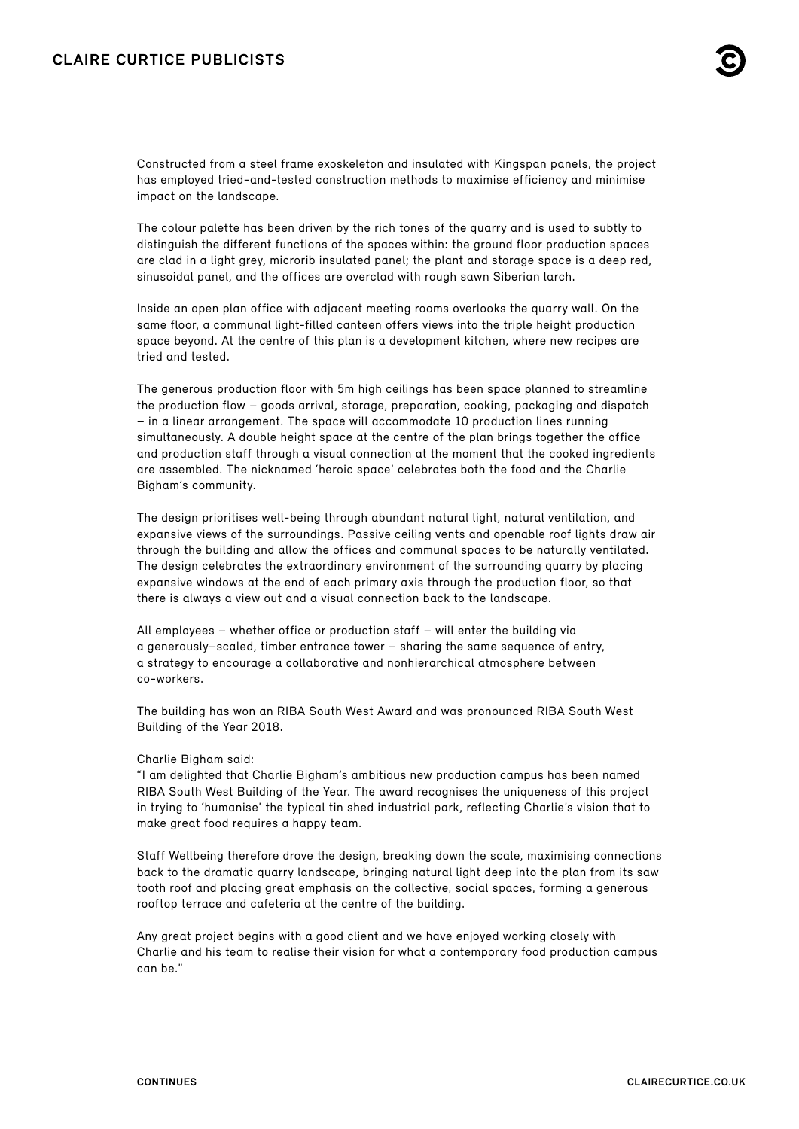## **CLAIRE CURTICE PUBLICISTS**

Constructed from a steel frame exoskeleton and insulated with Kingspan panels, the project has employed tried-and-tested construction methods to maximise efficiency and minimise impact on the landscape.

The colour palette has been driven by the rich tones of the quarry and is used to subtly to distinguish the different functions of the spaces within: the ground floor production spaces are clad in a light grey, microrib insulated panel; the plant and storage space is a deep red, sinusoidal panel, and the offices are overclad with rough sawn Siberian larch.

Inside an open plan office with adjacent meeting rooms overlooks the quarry wall. On the same floor, a communal light-filled canteen offers views into the triple height production space beyond. At the centre of this plan is a development kitchen, where new recipes are tried and tested.

The generous production floor with 5m high ceilings has been space planned to streamline the production flow – goods arrival, storage, preparation, cooking, packaging and dispatch – in a linear arrangement. The space will accommodate 10 production lines running simultaneously. A double height space at the centre of the plan brings together the office and production staff through a visual connection at the moment that the cooked ingredients are assembled. The nicknamed 'heroic space' celebrates both the food and the Charlie Bigham's community.

The design prioritises well-being through abundant natural light, natural ventilation, and expansive views of the surroundings. Passive ceiling vents and openable roof lights draw air through the building and allow the offices and communal spaces to be naturally ventilated. The design celebrates the extraordinary environment of the surrounding quarry by placing expansive windows at the end of each primary axis through the production floor, so that there is always a view out and a visual connection back to the landscape.

All employees – whether office or production staff – will enter the building via a generously–scaled, timber entrance tower – sharing the same sequence of entry, a strategy to encourage a collaborative and nonhierarchical atmosphere between co-workers.

The building has won an RIBA South West Award and was pronounced RIBA South West Building of the Year 2018.

#### Charlie Bigham said:

"I am delighted that Charlie Bigham's ambitious new production campus has been named RIBA South West Building of the Year. The award recognises the uniqueness of this project in trying to 'humanise' the typical tin shed industrial park, reflecting Charlie's vision that to make great food requires a happy team.

Staff Wellbeing therefore drove the design, breaking down the scale, maximising connections back to the dramatic quarry landscape, bringing natural light deep into the plan from its saw tooth roof and placing great emphasis on the collective, social spaces, forming a generous rooftop terrace and cafeteria at the centre of the building.

Any great project begins with a good client and we have enjoyed working closely with Charlie and his team to realise their vision for what a contemporary food production campus can be."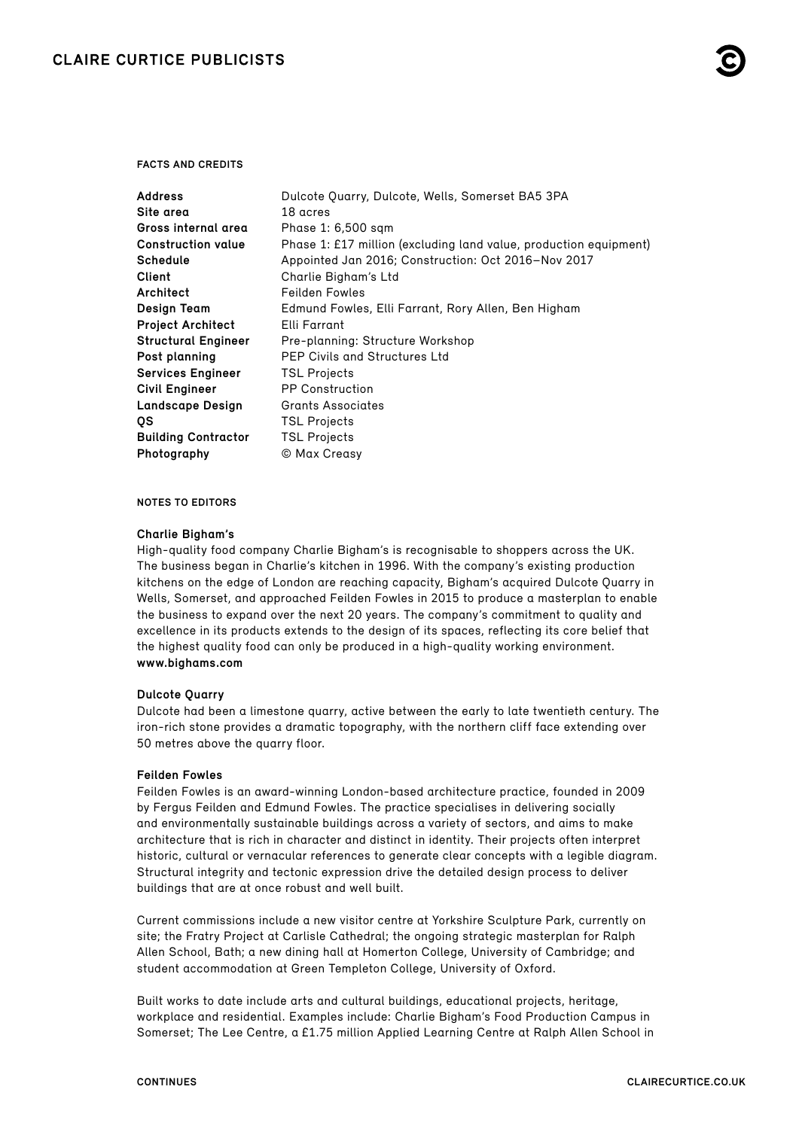#### **FACTS AND CREDITS**

| <b>Address</b><br>Site area | Dulcote Quarry, Dulcote, Wells, Somerset BA5 3PA<br>18 acres      |
|-----------------------------|-------------------------------------------------------------------|
| Gross internal area         | Phase 1: 6,500 sqm                                                |
| <b>Construction value</b>   | Phase 1: £17 million (excluding land value, production equipment) |
| Schedule                    |                                                                   |
|                             | Appointed Jan 2016; Construction: Oct 2016-Nov 2017               |
| Client                      | Charlie Bigham's Ltd                                              |
| Architect                   | Feilden Fowles                                                    |
| Design Team                 | Edmund Fowles, Elli Farrant, Rory Allen, Ben Higham               |
| <b>Project Architect</b>    | Elli Farrant                                                      |
| <b>Structural Engineer</b>  | Pre-planning: Structure Workshop                                  |
| Post planning               | <b>PEP Civils and Structures Ltd</b>                              |
| <b>Services Engineer</b>    | <b>TSL Projects</b>                                               |
| <b>Civil Engineer</b>       | <b>PP</b> Construction                                            |
| <b>Landscape Design</b>     | <b>Grants Associates</b>                                          |
| <b>OS</b>                   | <b>TSL Projects</b>                                               |
| <b>Building Contractor</b>  | <b>TSL Projects</b>                                               |
| Photography                 | © Max Creasy                                                      |

#### **NOTES TO EDITORS**

#### **Charlie Bigham's**

High-quality food company Charlie Bigham's is recognisable to shoppers across the UK. The business began in Charlie's kitchen in 1996. With the company's existing production kitchens on the edge of London are reaching capacity, Bigham's acquired Dulcote Quarry in Wells, Somerset, and approached Feilden Fowles in 2015 to produce a masterplan to enable the business to expand over the next 20 years. The company's commitment to quality and excellence in its products extends to the design of its spaces, reflecting its core belief that the highest quality food can only be produced in a high-quality working environment. **www.bighams.com**

#### **Dulcote Quarry**

Dulcote had been a limestone quarry, active between the early to late twentieth century. The iron-rich stone provides a dramatic topography, with the northern cliff face extending over 50 metres above the quarry floor.

#### **Feilden Fowles**

Feilden Fowles is an award-winning London-based architecture practice, founded in 2009 by Fergus Feilden and Edmund Fowles. The practice specialises in delivering socially and environmentally sustainable buildings across a variety of sectors, and aims to make architecture that is rich in character and distinct in identity. Their projects often interpret historic, cultural or vernacular references to generate clear concepts with a legible diagram. Structural integrity and tectonic expression drive the detailed design process to deliver buildings that are at once robust and well built.

Current commissions include a new visitor centre at Yorkshire Sculpture Park, currently on site; the Fratry Project at Carlisle Cathedral; the ongoing strategic masterplan for Ralph Allen School, Bath; a new dining hall at Homerton College, University of Cambridge; and student accommodation at Green Templeton College, University of Oxford.

Built works to date include arts and cultural buildings, educational projects, heritage, workplace and residential. Examples include: Charlie Bigham's Food Production Campus in Somerset; The Lee Centre, a £1.75 million Applied Learning Centre at Ralph Allen School in